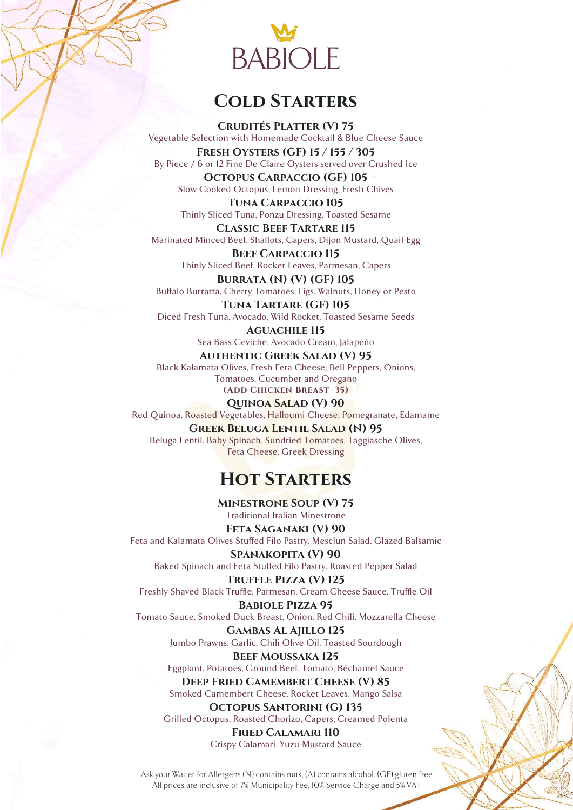

#### **Cold Starters**

**Crudités Platter (V) 75** Vegetable Selection with Homemade Cocktail & Blue Cheese Sauce **Fresh Oysters (GF) 15 / 155 / 305**

By Piece / 6 or 12 Fine De Claire Oysters served over Crushed Ice **Octopus Carpaccio (GF) 105**

Slow Cooked Octopus, Lemon Dressing, Fresh Chives **Tuna Carpaccio 105**

Thinly Sliced Tuna, Ponzu Dressing, Toasted Sesame

**Classic Beef Tartare 115** Marinated Minced Beef, Shallots, Capers, Dijon Mustard, Quail Egg

**Beef Carpaccio 115** Thinly Sliced Beef, Rocket Leaves, Parmesan, Capers **Burrata (N) (V) (GF) 105**

Buffalo Burratta, Cherry Tomatoes, Figs, Walnuts, Honey or Pesto

**Tuna Tartare (GF) 105** Diced Fresh Tuna, Avocado, Wild Rocket, Toasted Sesame Seeds

**Aguachile 115** Sea Bass Ceviche, Avocado Cream, Jalapeño

**Authentic Greek Salad (V) 95** Black Kalamata Olives, Fresh Feta Cheese, Bell Peppers, Onions, Tomatoes, Cucumber and Oregano **(Add Chicken Breast 35)**

**Quinoa Salad (V) 90** Red Quinoa, Roasted Vegetables, Halloumi Cheese, Pomegranate, Edamame

**Greek Beluga Lentil Salad (N) 95** Beluga Lentil, Baby Spinach, Sundried Tomatoes, Taggiasche Olives, Feta Cheese, Greek Dressing

### **Hot Starters**

**Minestrone Soup (V) 75** Traditional Italian Minestrone

**Feta Saganaki (V) 90** Feta and Kalamata Olives Stuffed Filo Pastry, Mesclun Salad, Glazed Balsamic

**Spanakopita (V) 90** Baked Spinach and Feta Stuffed Filo Pastry, Roasted Pepper Salad

**Truffle Pizza (V) 125** Freshly Shaved Black Truffle, Parmesan, Cream Cheese Sauce, Truffle Oil

**Babiole Pizza 95** Tomato Sauce, Smoked Duck Breast, Onion, Red Chili, Mozzarella Cheese

> **Gambas Al Ajillo 125** Jumbo Prawns, Garlic, Chili Olive Oil, Toasted Sourdough

**Beef Moussaka 125** Eggplant, Potatoes, Ground Beef, Tomato, Béchamel Sauce **Deep Fried Camembert Cheese (V) 85**

Smoked Camembert Cheese, Rocket Leaves, Mango Salsa

**Octopus Santorini (G) 135** Grilled Octopus, Roasted Chorizo, Capers, Creamed Polenta

> **Fried Calamari 110** Crispy Calamari, Yuzu-Mustard Sauce

Ask your Waiter for Allergens (N) contains nuts, (A) contains alcohol, (GF) gluten free All prices are inclusive of 7% Municipality Fee, 10% Service Charge and 5% VAT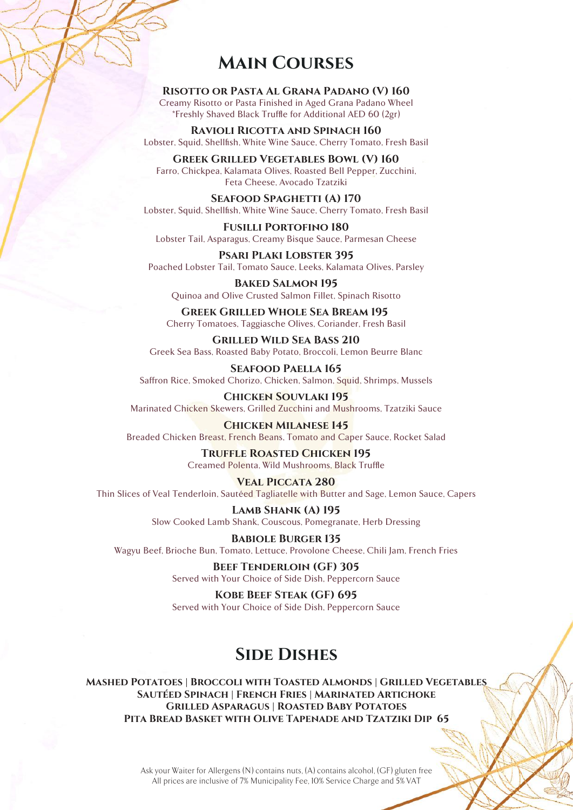#### **Main Courses**

**Risotto or Pasta Al Grana Padano (V) 160** Creamy Risotto or Pasta Finished in Aged Grana Padano Wheel \*Freshly Shaved Black Truffle for Additional AED 60 (2gr)

**Ravioli Ricotta and Spinach 160** Lobster, Squid, Shellfish, White Wine Sauce, Cherry Tomato, Fresh Basil

**Greek Grilled Vegetables Bowl (V) 160** Farro, Chickpea, Kalamata Olives, Roasted Bell Pepper, Zucchini, Feta Cheese, Avocado Tzatziki

SEAFOOD SPAGHETTI (A) 170 Lobster, Squid, Shellfish, White Wine Sauce, Cherry Tomato, Fresh Basil

**Fusilli Portofino 180** Lobster Tail, Asparagus, Creamy Bisque Sauce, Parmesan Cheese

**Psari Plaki Lobster 395** Poached Lobster Tail, Tomato Sauce, Leeks, Kalamata Olives, Parsley

**Baked Salmon 195** Quinoa and Olive Crusted Salmon Fillet, Spinach Risotto

**Greek Grilled Whole Sea Bream 195**  Cherry Tomatoes, Taggiasche Olives, Coriander, Fresh Basil

**Grilled Wild Sea Bass 210** Greek Sea Bass, Roasted Baby Potato, Broccoli, Lemon Beurre Blanc

**Seafood Paella 165** Saffron Rice, Smoked Chorizo, Chicken, Salmon, Squid, Shrimps, Mussels

**Chicken Souvlaki 195** Marinated Chicken Skewers, Grilled Zucchini and Mushrooms, Tzatziki Sauce

**Chicken Milanese 145** Breaded Chicken Breast, French Beans, Tomato and Caper Sauce, Rocket Salad

> **Truffle Roasted Chicken 195** Creamed Polenta, Wild Mushrooms, Black Truffle

**Veal Piccata 280** Thin Slices of Veal Tenderloin, Sautéed Tagliatelle with Butter and Sage, Lemon Sauce, Capers

> **Lamb Shank (A) 195** Slow Cooked Lamb Shank, Couscous, Pomegranate, Herb Dressing

**Babiole Burger 135** Wagyu Beef, Brioche Bun, Tomato, Lettuce, Provolone Cheese, Chili Jam, French Fries

> **Beef Tenderloin (GF) 305** Served with Your Choice of Side Dish, Peppercorn Sauce

> **Kobe Beef Steak (GF) 695** Served with Your Choice of Side Dish, Peppercorn Sauce

## **Side Dishes**

**Mashed Potatoes | Broccoli with Toasted Almonds | Grilled Vegetables Sautéed Spinach | French Fries | Marinated Artichoke Grilled Asparagus | Roasted Baby Potatoes Pita Bread Basket with Olive Tapenade and Tzatziki Dip 65**

> Ask your Waiter for Allergens (N) contains nuts, (A) contains alcohol, (GF) gluten free All prices are inclusive of 7% Municipality Fee, 10% Service Charge and 5% VAT